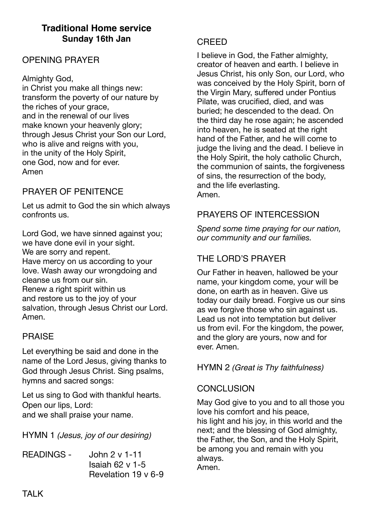# **Traditional Home service Sunday 16th Jan**

## OPENING PRAYER

Almighty God,

in Christ you make all things new: transform the poverty of our nature by the riches of your grace, and in the renewal of our lives make known your heavenly glory; through Jesus Christ your Son our Lord, who is alive and reigns with you, in the unity of the Holy Spirit, one God, now and for ever. Amen

# PRAYER OF PENITENCE

Let us admit to God the sin which always confronts us.

Lord God, we have sinned against you; we have done evil in your sight. We are sorry and repent. Have mercy on us according to your love. Wash away our wrongdoing and cleanse us from our sin. Renew a right spirit within us and restore us to the joy of your salvation, through Jesus Christ our Lord. Amen.

## PRAISE

Let everything be said and done in the name of the Lord Jesus, giving thanks to God through Jesus Christ. Sing psalms, hymns and sacred songs:

Let us sing to God with thankful hearts. Open our lips, Lord: and we shall praise your name.

HYMN 1 *(Jesus, joy of our desiring)*

READINGS - John 2 v 1-11 Isaiah 62 v 1-5 Revelation 19 v 6-9

## CREED

I believe in God, the Father almighty, creator of heaven and earth. I believe in Jesus Christ, his only Son, our Lord, who was conceived by the Holy Spirit, born of the Virgin Mary, suffered under Pontius Pilate, was crucified, died, and was buried; he descended to the dead. On the third day he rose again; he ascended into heaven, he is seated at the right hand of the Father, and he will come to judge the living and the dead. I believe in the Holy Spirit, the holy catholic Church, the communion of saints, the forgiveness of sins, the resurrection of the body, and the life everlasting. Amen.

## PRAYERS OF INTERCESSION

*Spend some time praying for our nation, our community and our families.* 

# THE LORD'S PRAYER

Our Father in heaven, hallowed be your name, your kingdom come, your will be done, on earth as in heaven. Give us today our daily bread. Forgive us our sins as we forgive those who sin against us. Lead us not into temptation but deliver us from evil. For the kingdom, the power, and the glory are yours, now and for ever. Amen.

## HYMN 2 *(Great is Thy faithfulness)*

## **CONCLUSION**

May God give to you and to all those you love his comfort and his peace, his light and his joy, in this world and the next; and the blessing of God almighty, the Father, the Son, and the Holy Spirit, be among you and remain with you always. Amen.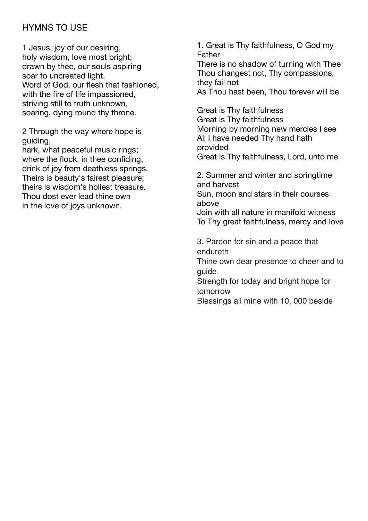## HYMNS TO USE

1 Jesus, joy of our desiring, holy wisdom, love most bright; drawn by thee, our souls aspiring soar to uncreated light. Word of God, our flesh that fashioned, with the fire of life impassioned, striving still to truth unknown, soaring, dying round thy throne.

2 Through the way where hope is guiding,

hark, what peaceful music rings; where the flock, in thee confiding, drink of joy from deathless springs. Theirs is beauty's fairest pleasure; theirs is wisdom's holiest treasure. Thou dost ever lead thine own in the love of joys unknown.

1. Great is Thy faithfulness, O God my Father

There is no shadow of turning with Thee Thou changest not, Thy compassions, they fail not

As Thou hast been, Thou forever will be

Great is Thy faithfulness Great is Thy faithfulness Morning by morning new mercies I see All I have needed Thy hand hath provided Great is Thy faithfulness, Lord, unto me

2. Summer and winter and springtime and harvest

Sun, moon and stars in their courses above

Join with all nature in manifold witness To Thy great faithfulness, mercy and love

3. Pardon for sin and a peace that endureth

Thine own dear presence to cheer and to guide

Strength for today and bright hope for tomorrow

Blessings all mine with 10, 000 beside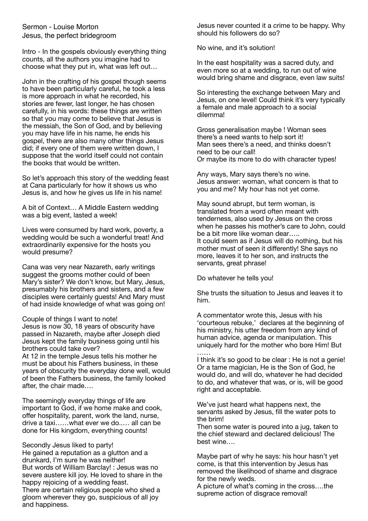#### Sermon - Louise Morton Jesus, the perfect bridegroom

Intro - In the gospels obviously everything thing counts, all the authors you imagine had to choose what they put in, what was left out…

John in the crafting of his gospel though seems to have been particularly careful, he took a less is more approach in what he recorded, his stories are fewer, last longer, he has chosen carefully, in his words: these things are written so that you may come to believe that Jesus is the messiah, the Son of God, and by believing you may have life in his name, he ends his gospel, there are also many other things Jesus did; if every one of them were written down, I suppose that the world itself could not contain the books that would be written.

So let's approach this story of the wedding feast at Cana particularly for how it shows us who Jesus is, and how he gives us life in his name!

A bit of Context… A Middle Eastern wedding was a big event, lasted a week!

Lives were consumed by hard work, poverty, a wedding would be such a wonderful treat! And extraordinarily expensive for the hosts you would presume?

Cana was very near Nazareth, early writings suggest the grooms mother could of been Mary's sister? We don't know, but Mary, Jesus, presumably his brothers and sisters, and a few disciples were certainly guests! And Mary must of had inside knowledge of what was going on!

Couple of things I want to note! Jesus is now 30, 18 years of obscurity have passed in Nazareth, maybe after Joseph died Jesus kept the family business going until his

brothers could take over? At 12 in the temple Jesus tells his mother he must be about his Fathers business, in these years of obscurity the everyday done well, would of been the Fathers business, the family looked after, the chair made….

The seemingly everyday things of life are important to God, if we home make and cook, offer hospitality, parent, work the land, nurse, drive a taxi……what ever we do..… all can be done for His kingdom, everything counts!

Secondly Jesus liked to party! He gained a reputation as a glutton and a drunkard, I'm sure he was neither! But words of William Barclay! : Jesus was no severe austere kill joy. He loved to share in the happy rejoicing of a wedding feast. There are certain religious people who shed a gloom wherever they go, suspicious of all joy and happiness.

Jesus never counted it a crime to be happy. Why should his followers do so?

No wine, and it's solution!

In the east hospitality was a sacred duty, and even more so at a wedding, to run out of wine would bring shame and disgrace, even law suits!

So interesting the exchange between Mary and Jesus, on one level! Could think it's very typically a female and male approach to a social dilemma!

Gross generalisation maybe ! Woman sees there's a need wants to help sort it! Man sees there's a need, and thinks doesn't need to be our call! Or maybe its more to do with character types!

Any ways, Mary says there's no wine. Jesus answer: woman, what concern is that to you and me? My hour has not yet come.

May sound abrupt, but term woman, is translated from a word often meant with tenderness, also used by Jesus on the cross when he passes his mother's care to John, could be a bit more like woman dear….. It could seem as if Jesus will do nothing, but his mother must of seen it differently! She says no more, leaves it to her son, and instructs the servants, great phrase!

Do whatever he tells you!

She trusts the situation to Jesus and leaves it to him.

A commentator wrote this, Jesus with his 'courteous rebuke,' declares at the beginning of his ministry, his utter freedom from any kind of human advice, agenda or manipulation. This uniquely hard for the mother who bore Him! But ……

I think it's so good to be clear : He is not a genie! Or a tame magician, He is the Son of God, he would do, and will do, whatever he had decided to do, and whatever that was, or is, will be good right and acceptable.

We've just heard what happens next, the servants asked by Jesus, fill the water pots to the brim!

Then some water is poured into a jug, taken to the chief steward and declared delicious! The best wine….

Maybe part of why he says: his hour hasn't yet come, is that this intervention by Jesus has removed the likelihood of shame and disgrace for the newly weds.

A picture of what's coming in the cross….the supreme action of disgrace removal!